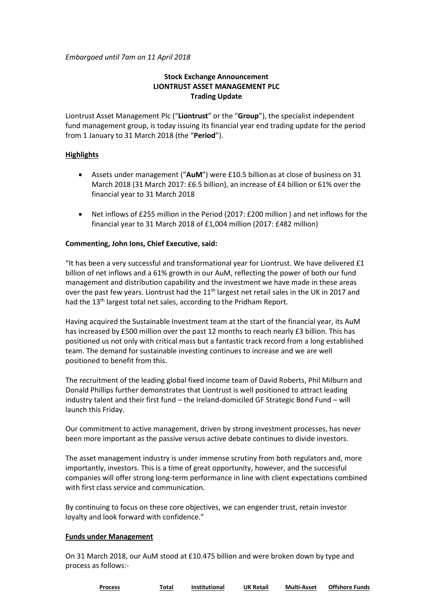*Embargoed until 7am on 11 April 2018*

## **Stock Exchange Announcement LIONTRUST ASSET MANAGEMENT PLC Trading Update**

Liontrust Asset Management Plc ("**Liontrust**" or the "**Group**"), the specialist independent fund management group, is today issuing its financial year end trading update for the period from 1 January to 31 March 2018 (the "**Period**").

### **Highlights**

- Assets under management ("**AuM**") were £10.5 billionas at close of business on 31 March 2018 (31 March 2017: £6.5 billion), an increase of £4 billion or 61% over the financial year to 31 March 2018
- Net inflows of £255 million in the Period (2017: £200 million ) and net inflows for the financial year to 31 March 2018 of £1,004 million (2017: £482 million)

## **Commenting, John Ions, Chief Executive, said:**

"It has been a very successful and transformational year for Liontrust. We have delivered £1 billion of net inflows and a 61% growth in our AuM, reflecting the power of both our fund management and distribution capability and the investment we have made in these areas over the past few years. Liontrust had the 11<sup>th</sup> largest net retail sales in the UK in 2017 and had the 13<sup>th</sup> largest total net sales, according to the Pridham Report.

Having acquired the Sustainable Investment team at the start of the financial year, its AuM has increased by £500 million over the past 12 months to reach nearly £3 billion. This has positioned us not only with critical mass but a fantastic track record from a long established team. The demand for sustainable investing continues to increase and we are well positioned to benefit from this.

The recruitment of the leading global fixed income team of David Roberts, Phil Milburn and Donald Phillips further demonstrates that Liontrust is well positioned to attract leading industry talent and their first fund – the Ireland-domiciled GF Strategic Bond Fund – will launch this Friday.

Our commitment to active management, driven by strong investment processes, has never been more important as the passive versus active debate continues to divide investors.

The asset management industry is under immense scrutiny from both regulators and, more importantly, investors. This is a time of great opportunity, however, and the successful companies will offer strong long-term performance in line with client expectations combined with first class service and communication.

By continuing to focus on these core objectives, we can engender trust, retain investor loyalty and look forward with confidence."

### **Funds under Management**

On 31 March 2018, our AuM stood at £10.475 billion and were broken down by type and process as follows:-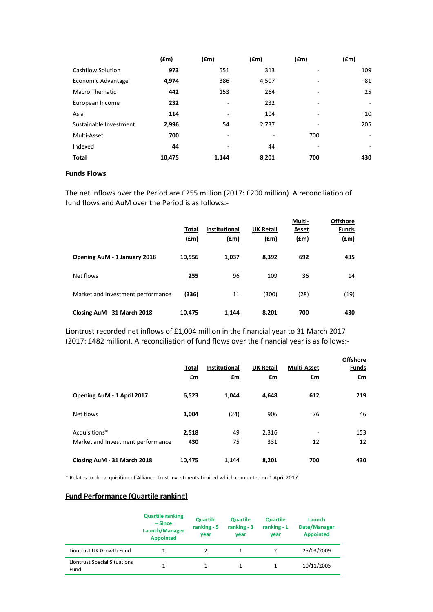|                          | f(m)   | (f.m) | (£m)  | f(m) | (fm)                     |
|--------------------------|--------|-------|-------|------|--------------------------|
| <b>Cashflow Solution</b> | 973    | 551   | 313   |      | 109                      |
| Economic Advantage       | 4,974  | 386   | 4,507 | -    | 81                       |
| <b>Macro Thematic</b>    | 442    | 153   | 264   | -    | 25                       |
| European Income          | 232    | ۰     | 232   | -    | $\overline{\phantom{0}}$ |
| Asia                     | 114    | -     | 104   | ٠    | 10                       |
| Sustainable Investment   | 2,996  | 54    | 2,737 |      | 205                      |
| Multi-Asset              | 700    | ۰     | ۰     | 700  | $\overline{\phantom{0}}$ |
| Indexed                  | 44     |       | 44    |      | ۰                        |
| <b>Total</b>             | 10,475 | 1,144 | 8,201 | 700  | 430                      |
|                          |        |       |       |      |                          |

## **Funds Flows**

The net inflows over the Period are £255 million (2017: £200 million). A reconciliation of fund flows and AuM over the Period is as follows:-

|                                   | Total<br>(f.m) | <b>Institutional</b><br>(fm) | <b>UK Retail</b><br>(fm) | Multi-<br>Asset<br>(f.m) | <b>Offshore</b><br><b>Funds</b><br><u>(£m)</u> |
|-----------------------------------|----------------|------------------------------|--------------------------|--------------------------|------------------------------------------------|
| Opening AuM - 1 January 2018      | 10,556         | 1,037                        | 8,392                    | 692                      | 435                                            |
| Net flows                         | 255            | 96                           | 109                      | 36                       | 14                                             |
| Market and Investment performance | (336)          | 11                           | (300)                    | (28)                     | (19)                                           |
| Closing AuM - 31 March 2018       | 10,475         | 1,144                        | 8,201                    | 700                      | 430                                            |

Liontrust recorded net inflows of £1,004 million in the financial year to 31 March 2017 (2017: £482 million). A reconciliation of fund flows over the financial year is as follows:-

|                                                    | Total<br>£m  | <b>Institutional</b><br>£m | <b>UK Retail</b><br>£m | <b>Multi-Asset</b><br>£m       | <b>Offshore</b><br><b>Funds</b><br>£m |
|----------------------------------------------------|--------------|----------------------------|------------------------|--------------------------------|---------------------------------------|
| Opening AuM - 1 April 2017                         | 6,523        | 1,044                      | 4,648                  | 612                            | 219                                   |
| Net flows                                          | 1,004        | (24)                       | 906                    | 76                             | 46                                    |
| Acquisitions*<br>Market and Investment performance | 2,518<br>430 | 49<br>75                   | 2,316<br>331           | $\overline{\phantom{a}}$<br>12 | 153<br>12                             |
| Closing AuM - 31 March 2018                        | 10,475       | 1,144                      | 8,201                  | 700                            | 430                                   |

\* Relates to the acquisition of Alliance Trust Investments Limited which completed on 1 April 2017.

# **Fund Performance (Quartile ranking)**

|                                             | <b>Quartile ranking</b><br>$-Since$<br>Launch/Manager<br><b>Appointed</b> | <b>Quartile</b><br>ranking $-5$<br>year | <b>Quartile</b><br>ranking $-3$<br>year | <b>Quartile</b><br>ranking $-1$<br>year | Launch<br>Date/Manager<br><b>Appointed</b> |
|---------------------------------------------|---------------------------------------------------------------------------|-----------------------------------------|-----------------------------------------|-----------------------------------------|--------------------------------------------|
| Liontrust UK Growth Fund                    |                                                                           |                                         |                                         |                                         | 25/03/2009                                 |
| <b>Liontrust Special Situations</b><br>Fund |                                                                           |                                         |                                         |                                         | 10/11/2005                                 |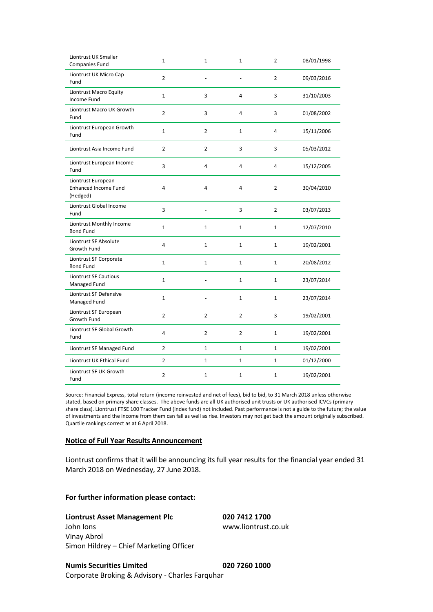| Liontrust UK Smaller<br>Companies Fund                        | $\mathbf{1}$   | $\mathbf{1}$   | $\mathbf 1$    | $\overline{2}$ | 08/01/1998 |
|---------------------------------------------------------------|----------------|----------------|----------------|----------------|------------|
| Liontrust UK Micro Cap<br>Fund                                | $\overline{2}$ | $\frac{1}{2}$  | ÷,             | $\overline{2}$ | 09/03/2016 |
| Liontrust Macro Equity<br>Income Fund                         | $\mathbf{1}$   | 3              | 4              | 3              | 31/10/2003 |
| Liontrust Macro UK Growth<br>Fund                             | $\overline{2}$ | 3              | 4              | 3              | 01/08/2002 |
| Liontrust European Growth<br>Fund                             | $\mathbf{1}$   | $\overline{2}$ | $\mathbf{1}$   | 4              | 15/11/2006 |
| Liontrust Asia Income Fund                                    | $\overline{2}$ | $\overline{2}$ | 3              | 3              | 05/03/2012 |
| Liontrust European Income<br>Fund                             | 3              | 4              | 4              | 4              | 15/12/2005 |
| Liontrust European<br><b>Enhanced Income Fund</b><br>(Hedged) | 4              | 4              | 4              | $\overline{2}$ | 30/04/2010 |
| Liontrust Global Income<br>Fund                               | 3              | ÷,             | 3              | $\overline{2}$ | 03/07/2013 |
| Liontrust Monthly Income<br><b>Bond Fund</b>                  | $\mathbf{1}$   | $\mathbf 1$    | $\mathbf 1$    | $\mathbf{1}$   | 12/07/2010 |
| Liontrust SF Absolute<br>Growth Fund                          | 4              | 1              | $\mathbf 1$    | $\mathbf 1$    | 19/02/2001 |
| Liontrust SF Corporate<br><b>Bond Fund</b>                    | $\mathbf 1$    | $\mathbf 1$    | $\mathbf{1}$   | $\mathbf{1}$   | 20/08/2012 |
| <b>Liontrust SF Cautious</b><br>Managed Fund                  | $\mathbf{1}$   | ÷,             | $\mathbf 1$    | $\mathbf 1$    | 23/07/2014 |
| Liontrust SF Defensive<br>Managed Fund                        | $\mathbf{1}$   | ÷,             | $\mathbf 1$    | $\mathbf 1$    | 23/07/2014 |
| Liontrust SF European<br>Growth Fund                          | $\overline{2}$ | $\overline{2}$ | $\overline{2}$ | 3              | 19/02/2001 |
| Liontrust SF Global Growth<br>Fund                            | 4              | $\overline{2}$ | 2              | $\mathbf 1$    | 19/02/2001 |
| Liontrust SF Managed Fund                                     | $\overline{2}$ | $\mathbf{1}$   | $\mathbf{1}$   | $\mathbf{1}$   | 19/02/2001 |
| Liontrust UK Ethical Fund                                     | $\overline{2}$ | 1              | 1              | 1              | 01/12/2000 |
| Liontrust SF UK Growth<br>Fund                                | $\overline{2}$ | $\mathbf{1}$   | $\mathbf{1}$   | $\mathbf{1}$   | 19/02/2001 |

Source: Financial Express, total return (income reinvested and net of fees), bid to bid, to 31 March 2018 unless otherwise stated, based on primary share classes. The above funds are all UK authorised unit trusts or UK authorised ICVCs (primary share class). Liontrust FTSE 100 Tracker Fund (index fund) not included. Past performance is not a guide to the future; the value of investments and the income from them can fall as well as rise. Investors may not get back the amount originally subscribed. Quartile rankings correct as at 6 April 2018.

#### **Notice of Full Year Results Announcement**

Liontrust confirms that it will be announcing its full year results for the financial year ended 31 March 2018 on Wednesday, 27 June 2018.

### **For further information please contact:**

## **Liontrust Asset Management Plc 020 7412 1700**

John Ions www.liontrust.co.uk Vinay Abrol Simon Hildrey – Chief Marketing Officer

**Numis Securities Limited 020 7260 1000** Corporate Broking & Advisory - Charles Farquhar